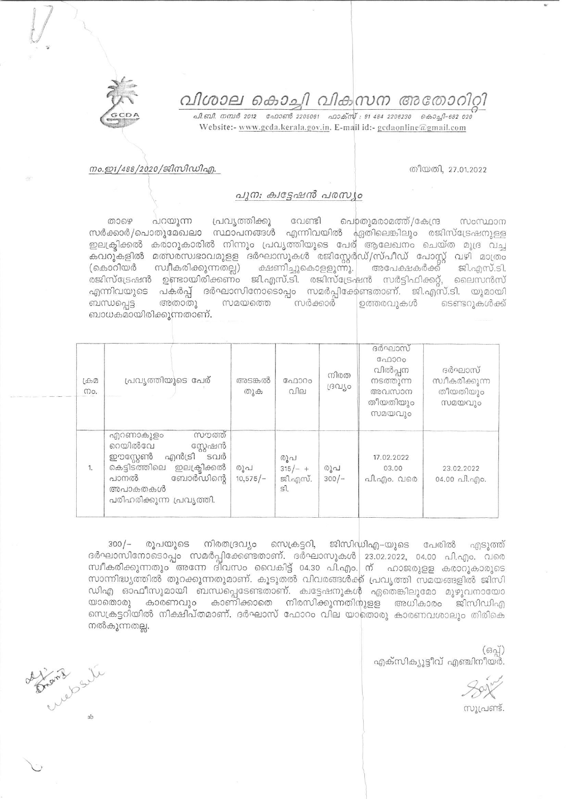വിശാല കൊച്ചി വികസന അതോറിറ്റി

வி.வி. നമ്പർ 2012 - வேலனீ 2205061 - வலக்ஸ் : 91 484 2206230 - கெல்வி-682 020 Website:- www.gcda.kerala.gov.in. E-mail id:- gcdaonline@gmail.com

തീയതി, 27.01.2022

## നം.ഇ1/488/2020/ജിസിഡിഎ.

## പുന: ക്വട്ടേഷൻ പരസ്യം

கை പറയുന്ന പ്രവൃത്തിക്കു വേണ്ടി പൊതുമരാമത്ത്/കേന്ദ്ര mominom സർക്കാർ/പൊതുമേഖലാ സ്ഥാപനങ്ങൾ എന്നിവയിൽ ഏതിലെങ്കിലും രജിസ്ട്രേഷനുള്ള ഇലക്രിക്കൽ കരാറുകാരിൽ നിന്നും പ്രവൃത്തിയുടെ പേര് ആലേഖനം ചെയ്ത മുദ്ര വച്ച കവറുകളിൽ മത്സരസ്വഭാവമുളള ദർഘാസുകൾ രജിസ്റ്റേർഡ്/സ്പീഡ് പോസ്റ്റ് വഴി മാത്രം (കൊറിയർ സ്വീകരിക്കുന്നതല്ല) ക്ഷണിച്ചുകൊളളുന്നു. അപേക്ഷകർക്ക് ജി.എസ്.ടി. രജിസ്ട്രേഷൻ ഉണ്ടായിരിക്കണം ജി.എസ്.ടി. രജിസ്ട്രേഷൻ സർട്ടിഫിക്കറ്റ്, ലൈസൻസ് എന്നിവയുടെ പകർപ്പ് ദർഘാസിനോടൊപ്പം സമർപ്പിക്കേണ്ടതാണ്. ജി.എസ്.ടി. യുമായി അതാതു ബന്ധപ്പെട്ട സമയത്തെ സർക്കാർ ഉത്തരവുകൾ ടെണ്ടറുകൾക്ക് ബാധകമായിരിക്കുന്നതാണ്.

| ( <del>பி</del> ,0<br>mo. | പ്രവൃത്തിയുടെ പേര്                                                                                                                                                   | അടങ്കൽ<br>തുക     | ഫോറം<br>വില                        | നിരത<br>ദ്രഗ്യാ | ദർഘാസ്<br>ഫോറം<br>വിൽപ്പന<br>നടത്തുന്ന<br>അവസാന<br>തീയതിയും<br>സമയവും | ദർഘാസ്<br>സ്വീകരിക്കുന്ന<br>തീയതിയും<br>സമയവും |
|---------------------------|----------------------------------------------------------------------------------------------------------------------------------------------------------------------|-------------------|------------------------------------|-----------------|-----------------------------------------------------------------------|------------------------------------------------|
| 1.                        | സൗത്ത്<br>എറണാകുളം<br>റെയിൽവേ<br>സ്റ്റേഷൻ<br>ഈസ്റ്റേൺ<br>എൻട്രി<br>ടവർ<br>കെട്ടിടത്തിലെ<br>ഇലക്ട്രീക്കൽ<br>ബോർഡിന്റെ<br>പാനൽ<br>അപാകതകൾ<br>പരിഹരിക്കുന്ന പ്രവ്യത്തി. | രൂപ<br>$10,575/-$ | രൂപ<br>$315/- +$<br>ജി.എസ്.<br>s1. | രൂപ<br>$300/-$  | 17.02.2022<br>03.00<br>പി.എം. വരെ                                     | 23.02.2022<br>$04.00$ all. ago.                |

നിരതദ്രവ്യം സെക്രട്ടറി, ജിസിഡിഎ–യുടെ പേരിൽ എടുത്ത് 300/- രൂപയുടെ ദർഘാസിനോടൊപ്പം സമർപ്പിക്കേണ്ടതാണ്. ദർഘാസൂകൾ 23.02.2022, 04.00 പി.എം. വരെ സ്ഥീകരിക്കുന്നതും അന്നേ ദി്വസം വൈകിട്ട് 04.30 പി.എം. ന് ഹാജരുളള കരാറുകാരുടെ സാന്നിദ്ധ്യത്തിൽ തുറക്കുന്നതുമാണ്. കൂടുതൽ വിവരങ്ങൾക്ക് പ്രവൃത്തി സമയങ്ങളിൽ ജിസി ഡിഎ ഓഫീസുമായി ബന്ധപ്പെടേണ്ടതാണ്. ക്വട്ടേഷനുകൾ ഏതെങ്കിലുമോ മുഴുവനായോ യാതൊരു കാരണവും കാണിക്കാതെ നിരസിക്കുന്നതിനുളള അധികാരം ജിസിഡിഎ സെക്രട്ടറിയിൽ നിക്ഷിപ്തമാണ്. ദർഘാസ് ഫോറം വില യാതൊരു കാരണവശാല്വം തിരികെ നൽകുന്നതല്ല.

 $(632)$ എക്സിക്യൂട്ടീവ് എഞ്ചിനീയർ.

സുപ്രണ്ട്.

of Fromt oute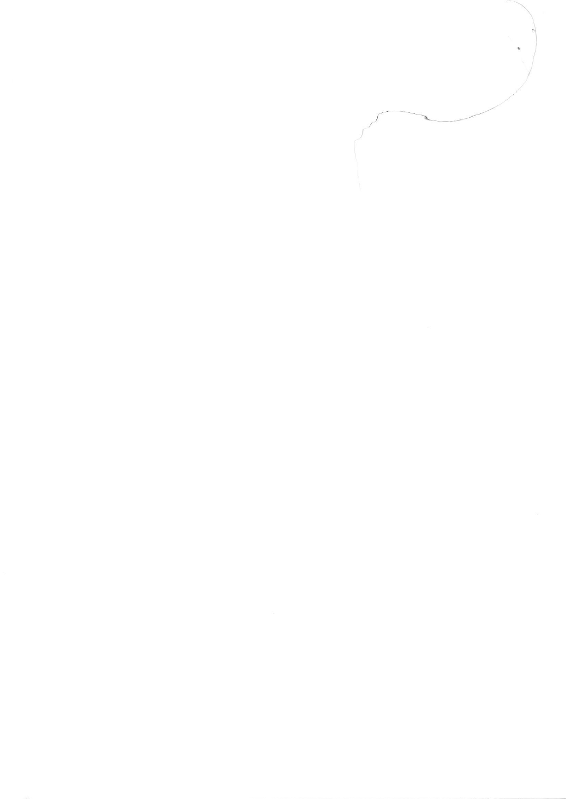